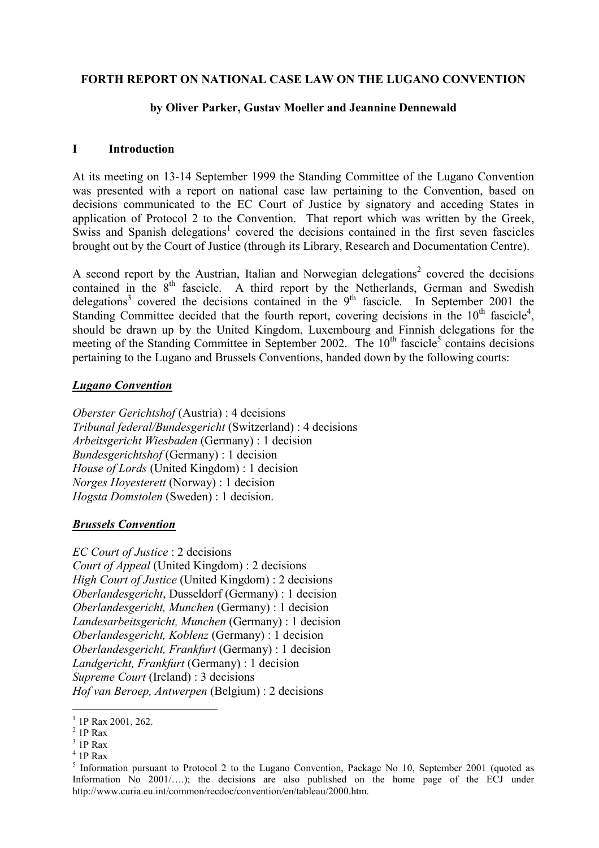#### **FORTH REPORT ON NATIONAL CASE LAW ON THE LUGANO CONVENTION**

#### **by Oliver Parker, Gustav Moeller and Jeannine Dennewald**

#### **I Introduction**

At its meeting on 13-14 September 1999 the Standing Committee of the Lugano Convention was presented with a report on national case law pertaining to the Convention, based on decisions communicated to the EC Court of Justice by signatory and acceding States in application of Protocol 2 to the Convention. That report which was written by the Greek, Swiss and Spanish delegations<sup>1</sup> covered the decisions contained in the first seven fascicles brought out by the Court of Justice (through its Library, Research and Documentation Centre).

A second report by the Austrian, Italian and Norwegian delegations<sup>2</sup> covered the decisions contained in the  $8<sup>th</sup>$  fascicle. A third report by the Netherlands, German and Swedish delegations<sup>3</sup> covered the decisions contained in the 9<sup>th</sup> fascicle. In September 2001 the Standing Committee decided that the fourth report, covering decisions in the  $10<sup>th</sup>$  fascicle<sup>4</sup>, should be drawn up by the United Kingdom, Luxembourg and Finnish delegations for the meeting of the Standing Committee in September 2002. The 10<sup>th</sup> fascicle<sup>5</sup> contains decisions pertaining to the Lugano and Brussels Conventions, handed down by the following courts:

#### *Lugano Convention*

*Oberster Gerichtshof* (Austria) : 4 decisions *Tribunal federal/Bundesgericht* (Switzerland) : 4 decisions *Arbeitsgericht Wiesbaden* (Germany) : 1 decision *Bundesgerichtshof* (Germany) : 1 decision *House of Lords* (United Kingdom) : 1 decision *Norges Hoyesterett* (Norway) : 1 decision *Hogsta Domstolen* (Sweden) : 1 decision.

#### *Brussels Convention*

*EC Court of Justice* : 2 decisions *Court of Appeal* (United Kingdom) : 2 decisions *High Court of Justice* (United Kingdom) : 2 decisions *Oberlandesgericht*, Dusseldorf (Germany) : 1 decision *Oberlandesgericht, Munchen* (Germany) : 1 decision *Landesarbeitsgericht, Munchen* (Germany) : 1 decision *Oberlandesgericht, Koblenz* (Germany) : 1 decision *Oberlandesgericht, Frankfurt* (Germany) : 1 decision *Landgericht, Frankfurt* (Germany) : 1 decision *Supreme Court* (Ireland) : 3 decisions *Hof van Beroep, Antwerpen* (Belgium) : 2 decisions

 $\overline{a}$ 

<sup>&</sup>lt;sup>1</sup> 1P Rax 2001, 262.

 $2$  1P Rax

 $3$  1P Rax

<sup>4</sup> 1P Rax

<sup>&</sup>lt;sup>5</sup> Information pursuant to Protocol 2 to the Lugano Convention, Package No 10, September 2001 (quoted as Information  $N_0$  2001/ $\dots$ ; the decisions are also published on the home page of the ECJ under http://www.curia.eu.int/common/recdoc/convention/en/tableau/2000.htm.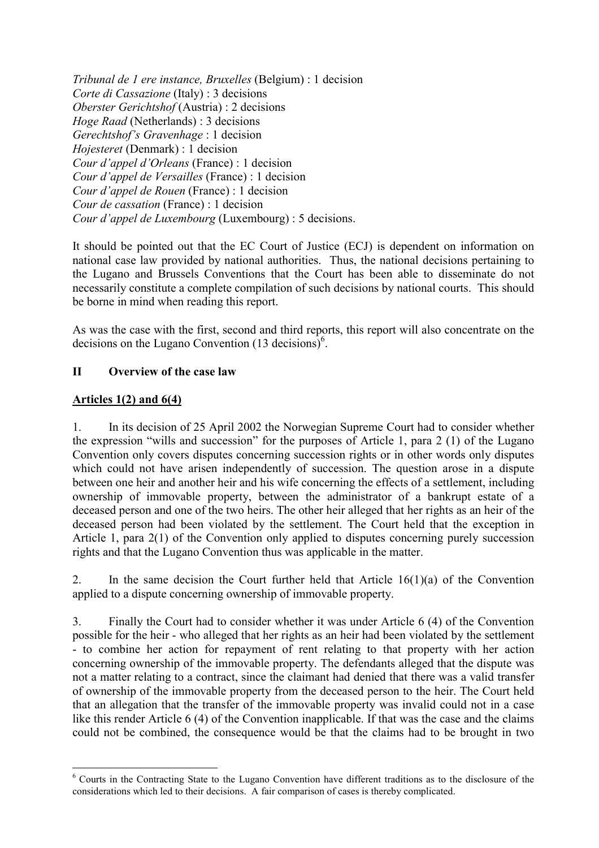*Tribunal de 1 ere instance, Bruxelles* (Belgium) : 1 decision *Corte di Cassazione* (Italy) : 3 decisions *Oberster Gerichtshof* (Austria) : 2 decisions *Hoge Raad* (Netherlands) : 3 decisions *Gerechtshof's Gravenhage* : 1 decision *Hojesteret* (Denmark) : 1 decision *Cour d'appel d'Orleans* (France) : 1 decision *Cour díappel de Versailles* (France) : 1 decision *Cour díappel de Rouen* (France) : 1 decision *Cour de cassation* (France) : 1 decision *Cour d'appel de Luxembourg* (Luxembourg) : 5 decisions.

It should be pointed out that the EC Court of Justice (ECJ) is dependent on information on national case law provided by national authorities. Thus, the national decisions pertaining to the Lugano and Brussels Conventions that the Court has been able to disseminate do not necessarily constitute a complete compilation of such decisions by national courts. This should be borne in mind when reading this report.

As was the case with the first, second and third reports, this report will also concentrate on the decisions on the Lugano Convention  $(13 \text{ decisions})^6$ .

### **II Overview of the case law**

### **Articles 1(2) and 6(4)**

 $\overline{a}$ 

1. In its decision of 25 April 2002 the Norwegian Supreme Court had to consider whether the expression "wills and succession" for the purposes of Article 1, para 2 (1) of the Lugano Convention only covers disputes concerning succession rights or in other words only disputes which could not have arisen independently of succession. The question arose in a dispute between one heir and another heir and his wife concerning the effects of a settlement, including ownership of immovable property, between the administrator of a bankrupt estate of a deceased person and one of the two heirs. The other heir alleged that her rights as an heir of the deceased person had been violated by the settlement. The Court held that the exception in Article 1, para 2(1) of the Convention only applied to disputes concerning purely succession rights and that the Lugano Convention thus was applicable in the matter.

2. In the same decision the Court further held that Article 16(1)(a) of the Convention applied to a dispute concerning ownership of immovable property.

3. Finally the Court had to consider whether it was under Article 6 (4) of the Convention possible for the heir - who alleged that her rights as an heir had been violated by the settlement - to combine her action for repayment of rent relating to that property with her action concerning ownership of the immovable property. The defendants alleged that the dispute was not a matter relating to a contract, since the claimant had denied that there was a valid transfer of ownership of the immovable property from the deceased person to the heir. The Court held that an allegation that the transfer of the immovable property was invalid could not in a case like this render Article 6 (4) of the Convention inapplicable. If that was the case and the claims could not be combined, the consequence would be that the claims had to be brought in two

<sup>&</sup>lt;sup>6</sup> Courts in the Contracting State to the Lugano Convention have different traditions as to the disclosure of the considerations which led to their decisions. A fair comparison of cases is thereby complicated.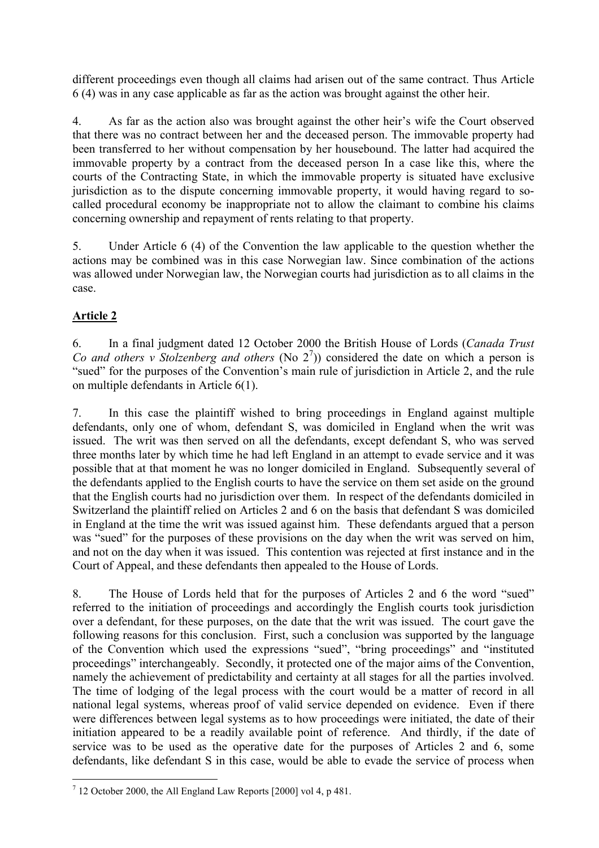different proceedings even though all claims had arisen out of the same contract. Thus Article 6 (4) was in any case applicable as far as the action was brought against the other heir.

4. As far as the action also was brought against the other heir's wife the Court observed that there was no contract between her and the deceased person. The immovable property had been transferred to her without compensation by her housebound. The latter had acquired the immovable property by a contract from the deceased person In a case like this, where the courts of the Contracting State, in which the immovable property is situated have exclusive jurisdiction as to the dispute concerning immovable property, it would having regard to socalled procedural economy be inappropriate not to allow the claimant to combine his claims concerning ownership and repayment of rents relating to that property.

5. Under Article 6 (4) of the Convention the law applicable to the question whether the actions may be combined was in this case Norwegian law. Since combination of the actions was allowed under Norwegian law, the Norwegian courts had jurisdiction as to all claims in the case.

# **Article 2**

6. In a final judgment dated 12 October 2000 the British House of Lords (*Canada Trust Co and others v Stolzenberg and others* (No  $2<sup>7</sup>$ ) considered the date on which a person is "sued" for the purposes of the Convention's main rule of jurisdiction in Article 2, and the rule on multiple defendants in Article 6(1).

7. In this case the plaintiff wished to bring proceedings in England against multiple defendants, only one of whom, defendant S, was domiciled in England when the writ was issued. The writ was then served on all the defendants, except defendant S, who was served three months later by which time he had left England in an attempt to evade service and it was possible that at that moment he was no longer domiciled in England. Subsequently several of the defendants applied to the English courts to have the service on them set aside on the ground that the English courts had no jurisdiction over them. In respect of the defendants domiciled in Switzerland the plaintiff relied on Articles 2 and 6 on the basis that defendant S was domiciled in England at the time the writ was issued against him. These defendants argued that a person was "sued" for the purposes of these provisions on the day when the writ was served on him, and not on the day when it was issued. This contention was rejected at first instance and in the Court of Appeal, and these defendants then appealed to the House of Lords.

8. The House of Lords held that for the purposes of Articles 2 and 6 the word "sued" referred to the initiation of proceedings and accordingly the English courts took jurisdiction over a defendant, for these purposes, on the date that the writ was issued. The court gave the following reasons for this conclusion. First, such a conclusion was supported by the language of the Convention which used the expressions "sued", "bring proceedings" and "instituted proceedings" interchangeably. Secondly, it protected one of the major aims of the Convention, namely the achievement of predictability and certainty at all stages for all the parties involved. The time of lodging of the legal process with the court would be a matter of record in all national legal systems, whereas proof of valid service depended on evidence. Even if there were differences between legal systems as to how proceedings were initiated, the date of their initiation appeared to be a readily available point of reference. And thirdly, if the date of service was to be used as the operative date for the purposes of Articles 2 and 6, some defendants, like defendant S in this case, would be able to evade the service of process when

 $\overline{a}$  $7$  12 October 2000, the All England Law Reports [2000] vol 4, p 481.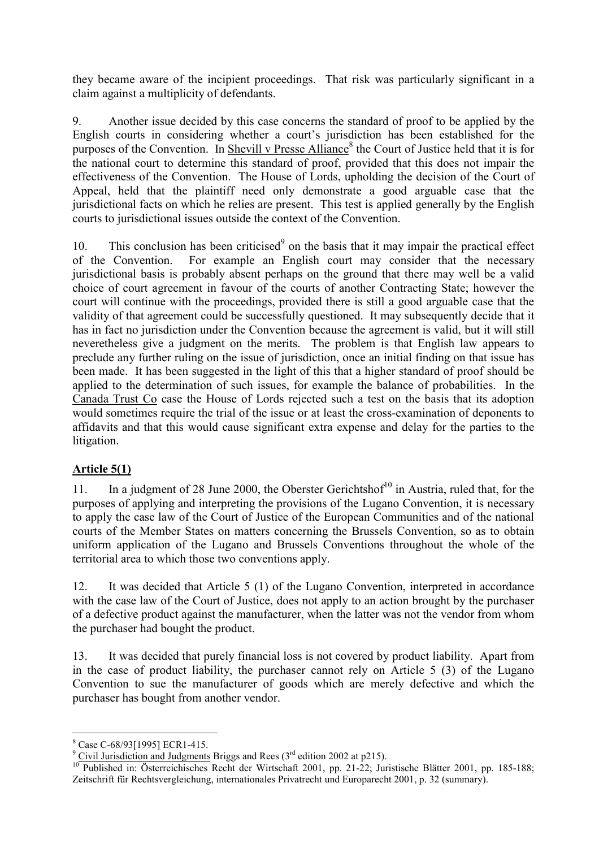they became aware of the incipient proceedings. That risk was particularly significant in a claim against a multiplicity of defendants.

9. Another issue decided by this case concerns the standard of proof to be applied by the English courts in considering whether a court's jurisdiction has been established for the purposes of the Convention. In Shevill v Presse Alliance<sup>8</sup> the Court of Justice held that it is for the national court to determine this standard of proof, provided that this does not impair the effectiveness of the Convention. The House of Lords, upholding the decision of the Court of Appeal, held that the plaintiff need only demonstrate a good arguable case that the jurisdictional facts on which he relies are present. This test is applied generally by the English courts to jurisdictional issues outside the context of the Convention.

10. This conclusion has been criticised<sup>9</sup> on the basis that it may impair the practical effect of the Convention. For example an English court may consider that the necessary jurisdictional basis is probably absent perhaps on the ground that there may well be a valid choice of court agreement in favour of the courts of another Contracting State; however the court will continue with the proceedings, provided there is still a good arguable case that the validity of that agreement could be successfully questioned. It may subsequently decide that it has in fact no jurisdiction under the Convention because the agreement is valid, but it will still neveretheless give a judgment on the merits. The problem is that English law appears to preclude any further ruling on the issue of jurisdiction, once an initial finding on that issue has been made. It has been suggested in the light of this that a higher standard of proof should be applied to the determination of such issues, for example the balance of probabilities. In the Canada Trust Co case the House of Lords rejected such a test on the basis that its adoption would sometimes require the trial of the issue or at least the cross-examination of deponents to affidavits and that this would cause significant extra expense and delay for the parties to the litigation.

## **Article 5(1)**

11. In a judgment of 28 June 2000, the Oberster Gerichtshof<sup>10</sup> in Austria, ruled that, for the purposes of applying and interpreting the provisions of the Lugano Convention, it is necessary to apply the case law of the Court of Justice of the European Communities and of the national courts of the Member States on matters concerning the Brussels Convention, so as to obtain uniform application of the Lugano and Brussels Conventions throughout the whole of the territorial area to which those two conventions apply.

12. It was decided that Article 5 (1) of the Lugano Convention, interpreted in accordance with the case law of the Court of Justice, does not apply to an action brought by the purchaser of a defective product against the manufacturer, when the latter was not the vendor from whom the purchaser had bought the product.

13. It was decided that purely financial loss is not covered by product liability. Apart from in the case of product liability, the purchaser cannot rely on Article 5 (3) of the Lugano Convention to sue the manufacturer of goods which are merely defective and which the purchaser has bought from another vendor.

 $\overline{a}$ 

<sup>&</sup>lt;sup>8</sup> Case C-68/93[1995] ECR1-415.

<sup>&</sup>lt;sup>9</sup> Civil Jurisdiction and Judgments Briggs and Rees (3<sup>rd</sup> edition 2002 at p215).

<sup>&</sup>lt;sup>10</sup> Published in: Österreichisches Recht der Wirtschaft 2001, pp. 21-22; Juristische Blätter 2001, pp. 185-188; Zeitschrift für Rechtsvergleichung, internationales Privatrecht und Europarecht 2001, p. 32 (summary).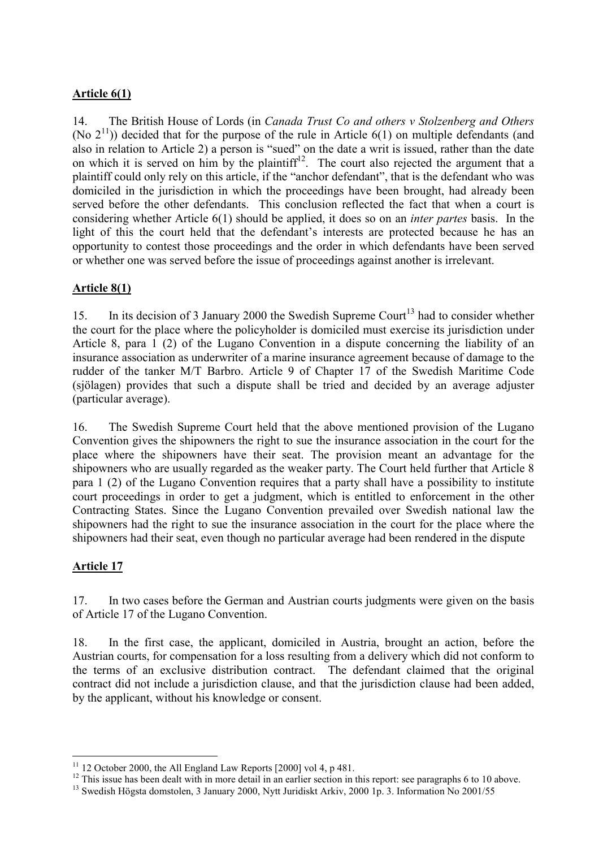### **Article 6(1)**

14. The British House of Lords (in *Canada Trust Co and others v Stolzenberg and Others* (No  $2^{11}$ )) decided that for the purpose of the rule in Article 6(1) on multiple defendants (and also in relation to Article 2) a person is "sued" on the date a writ is issued, rather than the date on which it is served on him by the plaintiff<sup>12</sup>. The court also rejected the argument that a plaintiff could only rely on this article, if the "anchor defendant", that is the defendant who was domiciled in the jurisdiction in which the proceedings have been brought, had already been served before the other defendants. This conclusion reflected the fact that when a court is considering whether Article 6(1) should be applied, it does so on an *inter partes* basis. In the light of this the court held that the defendant's interests are protected because he has an opportunity to contest those proceedings and the order in which defendants have been served or whether one was served before the issue of proceedings against another is irrelevant.

### **Article 8(1)**

15. In its decision of 3 January 2000 the Swedish Supreme Court<sup>13</sup> had to consider whether the court for the place where the policyholder is domiciled must exercise its jurisdiction under Article 8, para 1 (2) of the Lugano Convention in a dispute concerning the liability of an insurance association as underwriter of a marine insurance agreement because of damage to the rudder of the tanker M/T Barbro. Article 9 of Chapter 17 of the Swedish Maritime Code (sjölagen) provides that such a dispute shall be tried and decided by an average adjuster (particular average).

16. The Swedish Supreme Court held that the above mentioned provision of the Lugano Convention gives the shipowners the right to sue the insurance association in the court for the place where the shipowners have their seat. The provision meant an advantage for the shipowners who are usually regarded as the weaker party. The Court held further that Article 8 para 1 (2) of the Lugano Convention requires that a party shall have a possibility to institute court proceedings in order to get a judgment, which is entitled to enforcement in the other Contracting States. Since the Lugano Convention prevailed over Swedish national law the shipowners had the right to sue the insurance association in the court for the place where the shipowners had their seat, even though no particular average had been rendered in the dispute

### **Article 17**

17. In two cases before the German and Austrian courts judgments were given on the basis of Article 17 of the Lugano Convention.

18. In the first case, the applicant, domiciled in Austria, brought an action, before the Austrian courts, for compensation for a loss resulting from a delivery which did not conform to the terms of an exclusive distribution contract. The defendant claimed that the original contract did not include a jurisdiction clause, and that the jurisdiction clause had been added, by the applicant, without his knowledge or consent.

 $\overline{a}$  $11$  12 October 2000, the All England Law Reports [2000] vol 4, p 481.

<sup>&</sup>lt;sup>12</sup> This issue has been dealt with in more detail in an earlier section in this report: see paragraphs 6 to 10 above.

<sup>&</sup>lt;sup>13</sup> Swedish Högsta domstolen, 3 January 2000, Nytt Juridiskt Arkiv, 2000 1p. 3. Information No 2001/55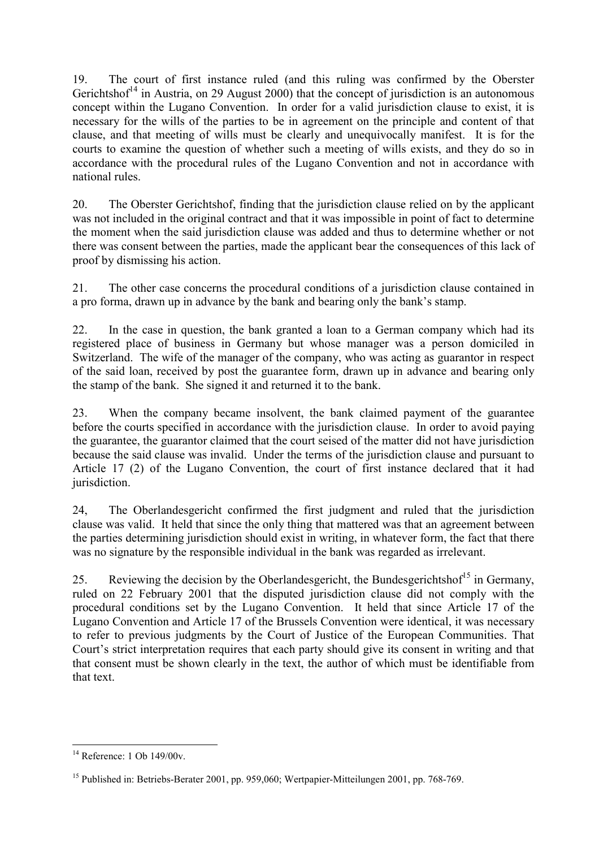19. The court of first instance ruled (and this ruling was confirmed by the Oberster Gerichtshof<sup>14</sup> in Austria, on 29 August 2000) that the concept of jurisdiction is an autonomous concept within the Lugano Convention. In order for a valid jurisdiction clause to exist, it is necessary for the wills of the parties to be in agreement on the principle and content of that clause, and that meeting of wills must be clearly and unequivocally manifest. It is for the courts to examine the question of whether such a meeting of wills exists, and they do so in accordance with the procedural rules of the Lugano Convention and not in accordance with national rules.

20. The Oberster Gerichtshof, finding that the jurisdiction clause relied on by the applicant was not included in the original contract and that it was impossible in point of fact to determine the moment when the said jurisdiction clause was added and thus to determine whether or not there was consent between the parties, made the applicant bear the consequences of this lack of proof by dismissing his action.

21. The other case concerns the procedural conditions of a jurisdiction clause contained in a pro forma, drawn up in advance by the bank and bearing only the bank's stamp.

22. In the case in question, the bank granted a loan to a German company which had its registered place of business in Germany but whose manager was a person domiciled in Switzerland. The wife of the manager of the company, who was acting as guarantor in respect of the said loan, received by post the guarantee form, drawn up in advance and bearing only the stamp of the bank. She signed it and returned it to the bank.

23. When the company became insolvent, the bank claimed payment of the guarantee before the courts specified in accordance with the jurisdiction clause. In order to avoid paying the guarantee, the guarantor claimed that the court seised of the matter did not have jurisdiction because the said clause was invalid. Under the terms of the jurisdiction clause and pursuant to Article 17 (2) of the Lugano Convention, the court of first instance declared that it had jurisdiction.

24, The Oberlandesgericht confirmed the first judgment and ruled that the jurisdiction clause was valid. It held that since the only thing that mattered was that an agreement between the parties determining jurisdiction should exist in writing, in whatever form, the fact that there was no signature by the responsible individual in the bank was regarded as irrelevant.

25. Reviewing the decision by the Oberlandesgericht, the Bundesgerichtshof<sup>15</sup> in Germany. ruled on 22 February 2001 that the disputed jurisdiction clause did not comply with the procedural conditions set by the Lugano Convention. It held that since Article 17 of the Lugano Convention and Article 17 of the Brussels Convention were identical, it was necessary to refer to previous judgments by the Court of Justice of the European Communities. That Court's strict interpretation requires that each party should give its consent in writing and that that consent must be shown clearly in the text, the author of which must be identifiable from that text.

 $\overline{a}$ <sup>14</sup> Reference: 1 Ob 149/00v.

<sup>&</sup>lt;sup>15</sup> Published in: Betriebs-Berater 2001, pp. 959,060; Wertpapier-Mitteilungen 2001, pp. 768-769.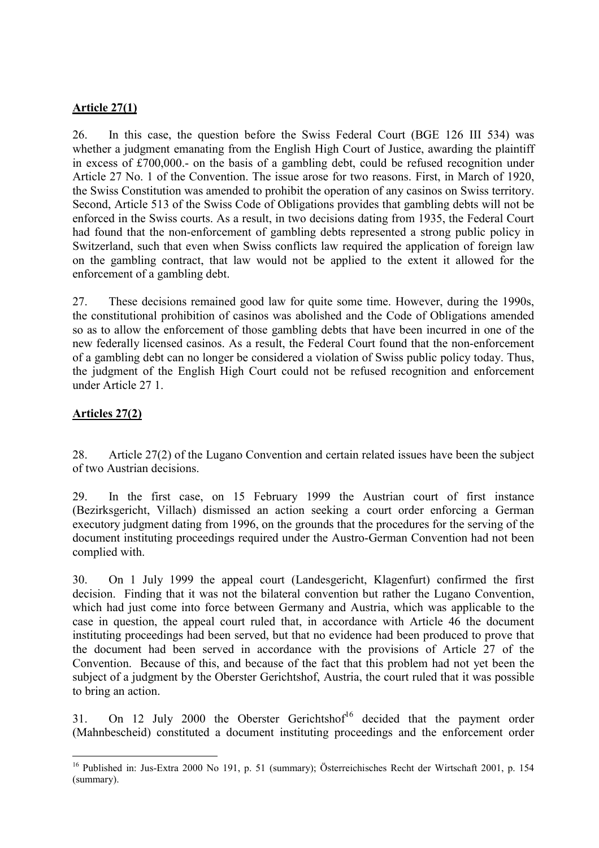#### **Article 27(1)**

26. In this case, the question before the Swiss Federal Court (BGE 126 III 534) was whether a judgment emanating from the English High Court of Justice, awarding the plaintiff in excess of £700,000.- on the basis of a gambling debt, could be refused recognition under Article 27 No. 1 of the Convention. The issue arose for two reasons. First, in March of 1920, the Swiss Constitution was amended to prohibit the operation of any casinos on Swiss territory. Second, Article 513 of the Swiss Code of Obligations provides that gambling debts will not be enforced in the Swiss courts. As a result, in two decisions dating from 1935, the Federal Court had found that the non-enforcement of gambling debts represented a strong public policy in Switzerland, such that even when Swiss conflicts law required the application of foreign law on the gambling contract, that law would not be applied to the extent it allowed for the enforcement of a gambling debt.

27. These decisions remained good law for quite some time. However, during the 1990s, the constitutional prohibition of casinos was abolished and the Code of Obligations amended so as to allow the enforcement of those gambling debts that have been incurred in one of the new federally licensed casinos. As a result, the Federal Court found that the non-enforcement of a gambling debt can no longer be considered a violation of Swiss public policy today. Thus, the judgment of the English High Court could not be refused recognition and enforcement under Article 27 1.

### **Articles 27(2)**

 $\overline{a}$ 

28. Article 27(2) of the Lugano Convention and certain related issues have been the subject of two Austrian decisions.

29. In the first case, on 15 February 1999 the Austrian court of first instance (Bezirksgericht, Villach) dismissed an action seeking a court order enforcing a German executory judgment dating from 1996, on the grounds that the procedures for the serving of the document instituting proceedings required under the Austro-German Convention had not been complied with.

30. On 1 July 1999 the appeal court (Landesgericht, Klagenfurt) confirmed the first decision. Finding that it was not the bilateral convention but rather the Lugano Convention, which had just come into force between Germany and Austria, which was applicable to the case in question, the appeal court ruled that, in accordance with Article 46 the document instituting proceedings had been served, but that no evidence had been produced to prove that the document had been served in accordance with the provisions of Article 27 of the Convention. Because of this, and because of the fact that this problem had not yet been the subject of a judgment by the Oberster Gerichtshof, Austria, the court ruled that it was possible to bring an action.

31. On 12 July 2000 the Oberster Gerichtshof<sup>16</sup> decided that the payment order (Mahnbescheid) constituted a document instituting proceedings and the enforcement order

<sup>&</sup>lt;sup>16</sup> Published in: Jus-Extra 2000 No 191, p. 51 (summary); Österreichisches Recht der Wirtschaft 2001, p. 154 (summary).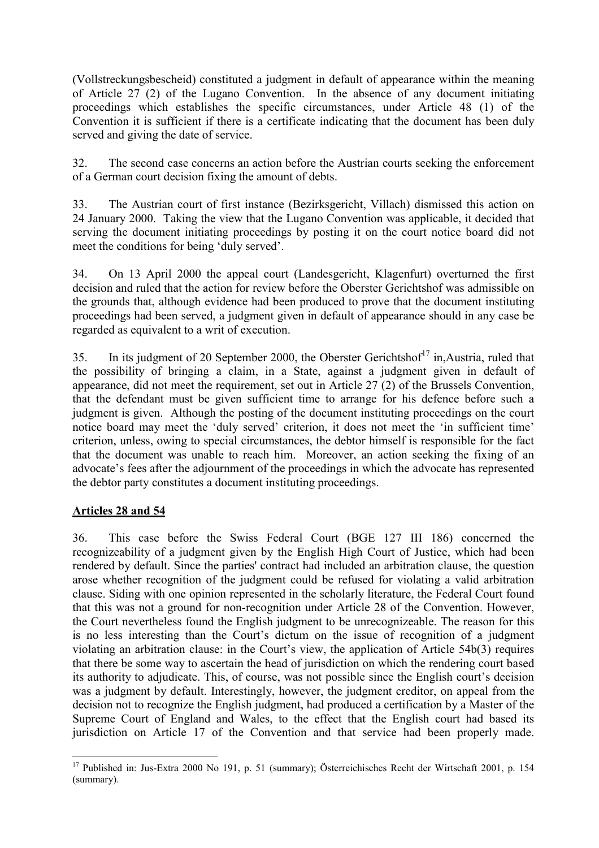(Vollstreckungsbescheid) constituted a judgment in default of appearance within the meaning of Article 27 (2) of the Lugano Convention. In the absence of any document initiating proceedings which establishes the specific circumstances, under Article 48 (1) of the Convention it is sufficient if there is a certificate indicating that the document has been duly served and giving the date of service.

32. The second case concerns an action before the Austrian courts seeking the enforcement of a German court decision fixing the amount of debts.

33. The Austrian court of first instance (Bezirksgericht, Villach) dismissed this action on 24 January 2000. Taking the view that the Lugano Convention was applicable, it decided that serving the document initiating proceedings by posting it on the court notice board did not meet the conditions for being 'duly served'.

34. On 13 April 2000 the appeal court (Landesgericht, Klagenfurt) overturned the first decision and ruled that the action for review before the Oberster Gerichtshof was admissible on the grounds that, although evidence had been produced to prove that the document instituting proceedings had been served, a judgment given in default of appearance should in any case be regarded as equivalent to a writ of execution.

35. In its judgment of 20 September 2000, the Oberster Gerichtshof<sup>17</sup> in, Austria, ruled that the possibility of bringing a claim, in a State, against a judgment given in default of appearance, did not meet the requirement, set out in Article 27 (2) of the Brussels Convention, that the defendant must be given sufficient time to arrange for his defence before such a judgment is given. Although the posting of the document instituting proceedings on the court notice board may meet the 'duly served' criterion, it does not meet the 'in sufficient time' criterion, unless, owing to special circumstances, the debtor himself is responsible for the fact that the document was unable to reach him. Moreover, an action seeking the fixing of an advocate's fees after the adjournment of the proceedings in which the advocate has represented the debtor party constitutes a document instituting proceedings.

## **Articles 28 and 54**

36. This case before the Swiss Federal Court (BGE 127 III 186) concerned the recognizeability of a judgment given by the English High Court of Justice, which had been rendered by default. Since the parties' contract had included an arbitration clause, the question arose whether recognition of the judgment could be refused for violating a valid arbitration clause. Siding with one opinion represented in the scholarly literature, the Federal Court found that this was not a ground for non-recognition under Article 28 of the Convention. However, the Court nevertheless found the English judgment to be unrecognizeable. The reason for this is no less interesting than the Court's dictum on the issue of recognition of a judgment violating an arbitration clause: in the Court's view, the application of Article  $54b(3)$  requires that there be some way to ascertain the head of jurisdiction on which the rendering court based its authority to adjudicate. This, of course, was not possible since the English court's decision was a judgment by default. Interestingly, however, the judgment creditor, on appeal from the decision not to recognize the English judgment, had produced a certification by a Master of the Supreme Court of England and Wales, to the effect that the English court had based its jurisdiction on Article 17 of the Convention and that service had been properly made.

 $\overline{a}$  $17$  Published in: Jus-Extra 2000 No 191, p. 51 (summary); Österreichisches Recht der Wirtschaft 2001, p. 154 (summary).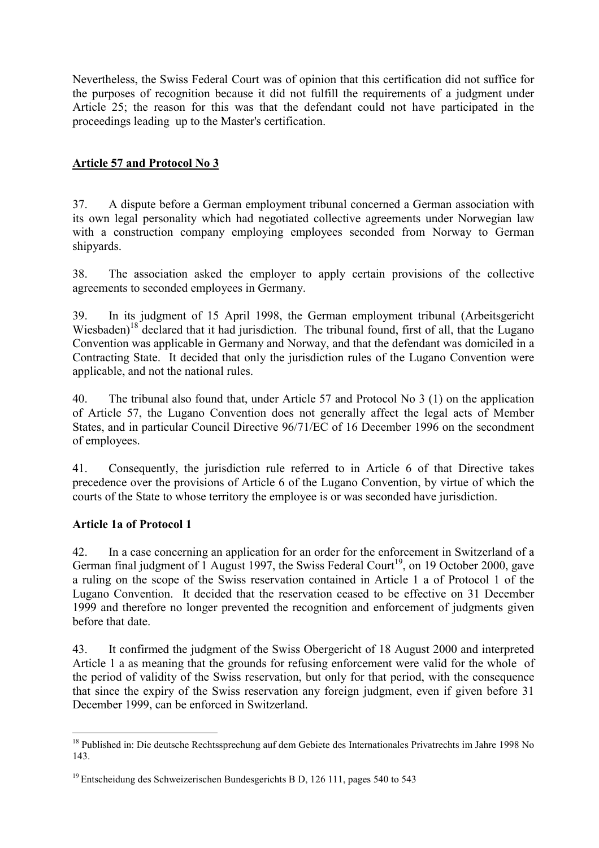Nevertheless, the Swiss Federal Court was of opinion that this certification did not suffice for the purposes of recognition because it did not fulfill the requirements of a judgment under Article 25; the reason for this was that the defendant could not have participated in the proceedings leading up to the Master's certification.

## **Article 57 and Protocol No 3**

37. A dispute before a German employment tribunal concerned a German association with its own legal personality which had negotiated collective agreements under Norwegian law with a construction company employing employees seconded from Norway to German shipyards.

38. The association asked the employer to apply certain provisions of the collective agreements to seconded employees in Germany.

39. In its judgment of 15 April 1998, the German employment tribunal (Arbeitsgericht Wiesbaden)<sup>18</sup> declared that it had jurisdiction. The tribunal found, first of all, that the Lugano Convention was applicable in Germany and Norway, and that the defendant was domiciled in a Contracting State. It decided that only the jurisdiction rules of the Lugano Convention were applicable, and not the national rules.

40. The tribunal also found that, under Article 57 and Protocol No 3 (1) on the application of Article 57, the Lugano Convention does not generally affect the legal acts of Member States, and in particular Council Directive 96/71/EC of 16 December 1996 on the secondment of employees.

41. Consequently, the jurisdiction rule referred to in Article 6 of that Directive takes precedence over the provisions of Article 6 of the Lugano Convention, by virtue of which the courts of the State to whose territory the employee is or was seconded have jurisdiction.

### **Article 1a of Protocol 1**

 $\overline{a}$ 

42. In a case concerning an application for an order for the enforcement in Switzerland of a German final judgment of 1 August 1997, the Swiss Federal Court<sup>19</sup>, on 19 October 2000, gave a ruling on the scope of the Swiss reservation contained in Article 1 a of Protocol 1 of the Lugano Convention. It decided that the reservation ceased to be effective on 31 December 1999 and therefore no longer prevented the recognition and enforcement of judgments given before that date.

43. It confirmed the judgment of the Swiss Obergericht of 18 August 2000 and interpreted Article 1 a as meaning that the grounds for refusing enforcement were valid for the whole of the period of validity of the Swiss reservation, but only for that period, with the consequence that since the expiry of the Swiss reservation any foreign judgment, even if given before 31 December 1999, can be enforced in Switzerland.

<sup>&</sup>lt;sup>18</sup> Published in: Die deutsche Rechtssprechung auf dem Gebiete des Internationales Privatrechts im Jahre 1998 No 143.

<sup>&</sup>lt;sup>19</sup> Entscheidung des Schweizerischen Bundesgerichts B D, 126 111, pages 540 to 543